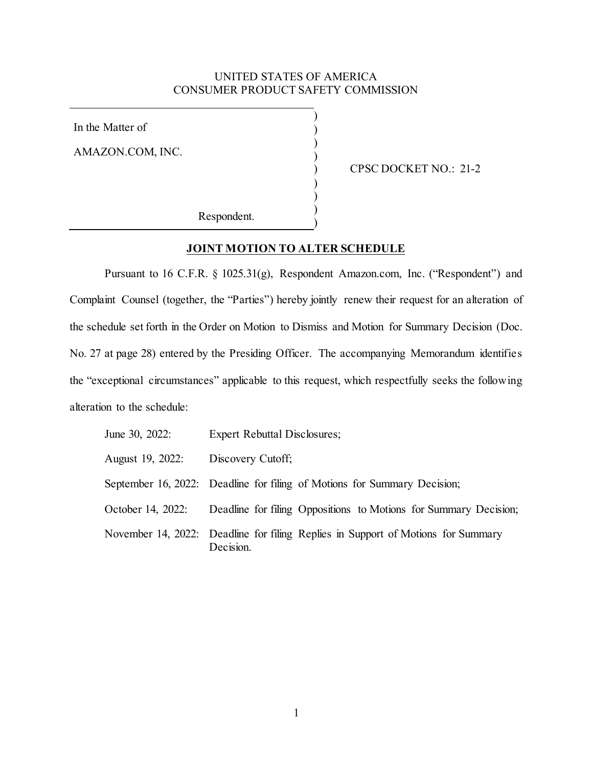## UNITED STATES OF AMERICA CONSUMER PRODUCT SAFETY COMMISSION

) ) ) ) ) ) ) ) )

In the Matter of

AMAZON.COM, INC.

CPSC DOCKET NO.: 21-2

Respondent.

### **JOINT MOTION TO ALTER SCHEDULE**

Pursuant to 16 C.F.R. § 1025.31(g), Respondent Amazon.com, Inc. ("Respondent") and Complaint Counsel (together, the "Parties") hereby jointly renew their request for an alteration of the schedule set forth in the Order on Motion to Dismiss and Motion for Summary Decision (Doc. No. 27 at page 28) entered by the Presiding Officer. The accompanying Memorandum identifies the "exceptional circumstances" applicable to this request, which respectfully seeks the following alteration to the schedule:

| June 30, 2022:    | <b>Expert Rebuttal Disclosures;</b>                                                           |
|-------------------|-----------------------------------------------------------------------------------------------|
| August 19, 2022:  | Discovery Cutoff;                                                                             |
|                   | September 16, 2022: Deadline for filing of Motions for Summary Decision;                      |
| October 14, 2022: | Deadline for filing Oppositions to Motions for Summary Decision;                              |
|                   | November 14, 2022: Deadline for filing Replies in Support of Motions for Summary<br>Decision. |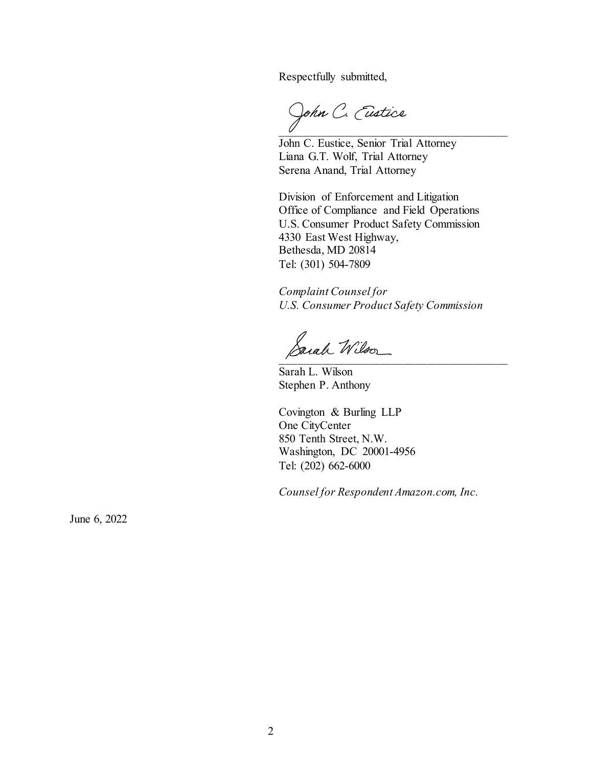Respectfully submitted,

John C. Eustice

John C. Eustice, Senior Trial Attorney Liana G.T. Wolf, Trial Attorney Serena Anand, Trial Attorney

Division of Enforcement and Litigation Office of Compliance and Field Operations U.S. Consumer Product Safety Commission 4330 East West Highway, Bethesda, MD 20814 Tel: (301) 504-7809

*Complaint Counsel for U.S. Consumer Product Safety Commission*

Sarah Wilson

Sarah L. Wilson Stephen P. Anthony

Covington & Burling LLP One CityCenter 850 Tenth Street, N.W. Washington, DC 20001-4956 Tel: (202) 662-6000

*Counsel for Respondent Amazon.com, Inc.* 

June 6, 2022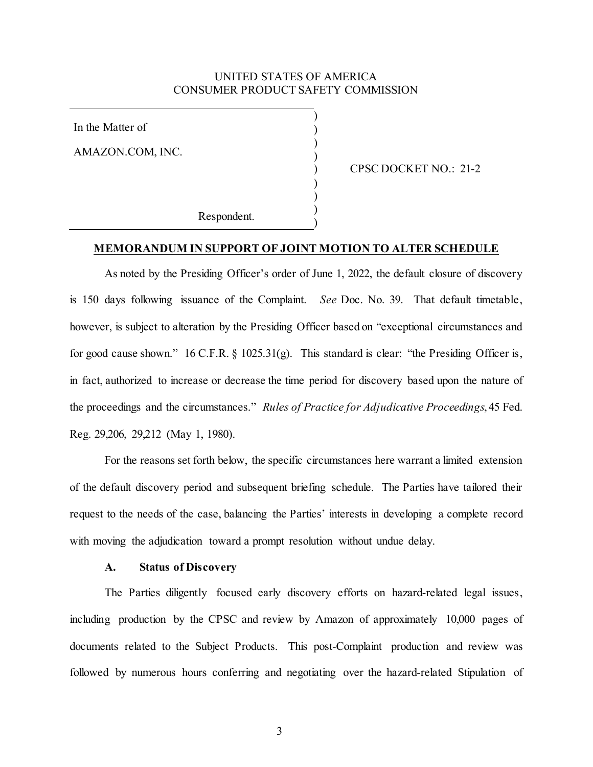### UNITED STATES OF AMERICA CONSUMER PRODUCT SAFETY COMMISSION

) ) ) ) ) ) ) ) )

In the Matter of

AMAZON.COM, INC.

CPSC DOCKET NO.: 21-2

Respondent.

### **MEMORANDUM IN SUPPORT OF JOINT MOTION TO ALTER SCHEDULE**

As noted by the Presiding Officer's order of June 1, 2022, the default closure of discovery is 150 days following issuance of the Complaint. *See* Doc. No. 39. That default timetable, however, is subject to alteration by the Presiding Officer based on "exceptional circumstances and for good cause shown." 16 C.F.R. § 1025.31(g). This standard is clear: "the Presiding Officer is, in fact, authorized to increase or decrease the time period for discovery based upon the nature of the proceedings and the circumstances." *Rules of Practice for Adjudicative Proceedings*, 45 Fed. Reg. 29,206, 29,212 (May 1, 1980).

For the reasons set forth below, the specific circumstances here warrant a limited extension of the default discovery period and subsequent briefing schedule. The Parties have tailored their request to the needs of the case, balancing the Parties' interests in developing a complete record with moving the adjudication toward a prompt resolution without undue delay.

#### **A. Status of Discovery**

The Parties diligently focused early discovery efforts on hazard-related legal issues, including production by the CPSC and review by Amazon of approximately 10,000 pages of documents related to the Subject Products. This post-Complaint production and review was followed by numerous hours conferring and negotiating over the hazard-related Stipulation of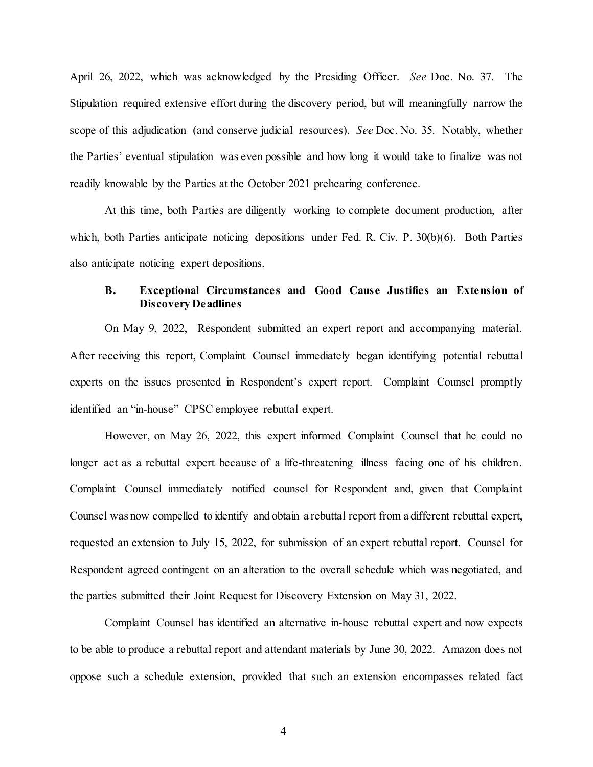April 26, 2022, which was acknowledged by the Presiding Officer. *See* Doc. No. 37. The Stipulation required extensive effort during the discovery period, but will meaningfully narrow the scope of this adjudication (and conserve judicial resources). *See* Doc. No. 35. Notably, whether the Parties' eventual stipulation was even possible and how long it would take to finalize was not readily knowable by the Parties at the October 2021 prehearing conference.

At this time, both Parties are diligently working to complete document production, after which, both Parties anticipate noticing depositions under Fed. R. Civ. P. 30(b)(6). Both Parties also anticipate noticing expert depositions.

# **B. Exceptional Circumstances and Good Cause Justifies an Extension of Discovery Deadlines**

On May 9, 2022, Respondent submitted an expert report and accompanying material. After receiving this report, Complaint Counsel immediately began identifying potential rebuttal experts on the issues presented in Respondent's expert report. Complaint Counsel promptly identified an "in-house" CPSC employee rebuttal expert.

However, on May 26, 2022, this expert informed Complaint Counsel that he could no longer act as a rebuttal expert because of a life-threatening illness facing one of his children. Complaint Counsel immediately notified counsel for Respondent and, given that Complaint Counsel was now compelled to identify and obtain a rebuttal report from a different rebuttal expert, requested an extension to July 15, 2022, for submission of an expert rebuttal report. Counsel for Respondent agreed contingent on an alteration to the overall schedule which was negotiated, and the parties submitted their Joint Request for Discovery Extension on May 31, 2022.

Complaint Counsel has identified an alternative in-house rebuttal expert and now expects to be able to produce a rebuttal report and attendant materials by June 30, 2022. Amazon does not oppose such a schedule extension, provided that such an extension encompasses related fact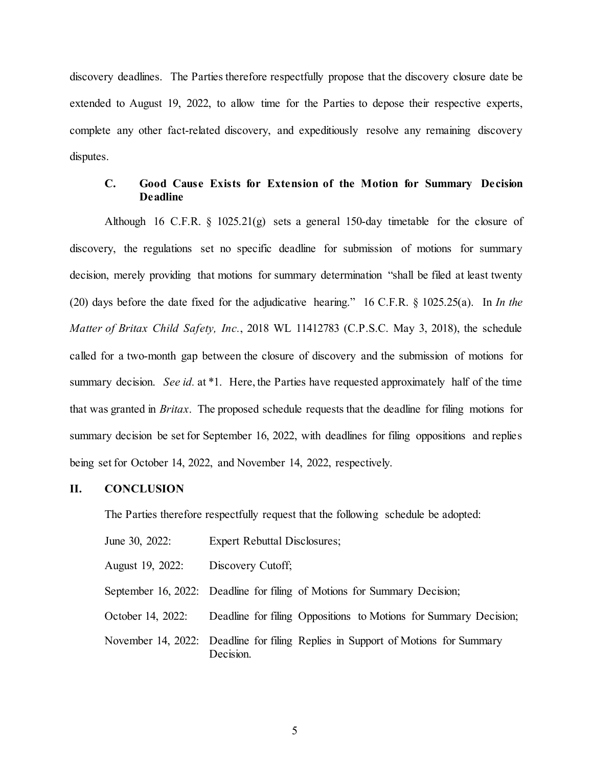discovery deadlines. The Parties therefore respectfully propose that the discovery closure date be extended to August 19, 2022, to allow time for the Parties to depose their respective experts, complete any other fact-related discovery, and expeditiously resolve any remaining discovery disputes.

## **C. Good Cause Exists for Extension of the Motion for Summary Decision Deadline**

Although 16 C.F.R.  $\S$  1025.21(g) sets a general 150-day timetable for the closure of discovery, the regulations set no specific deadline for submission of motions for summary decision, merely providing that motions for summary determination "shall be filed at least twenty (20) days before the date fixed for the adjudicative hearing." 16 C.F.R. § 1025.25(a). In *In the Matter of Britax Child Safety, Inc.*, 2018 WL 11412783 (C.P.S.C. May 3, 2018), the schedule called for a two-month gap between the closure of discovery and the submission of motions for summary decision. *See id.* at \*1. Here, the Parties have requested approximately half of the time that was granted in *Britax*. The proposed schedule requests that the deadline for filing motions for summary decision be set for September 16, 2022, with deadlines for filing oppositions and replies being set for October 14, 2022, and November 14, 2022, respectively.

### **II. CONCLUSION**

The Parties therefore respectfully request that the following schedule be adopted:

| June 30, 2022:    | <b>Expert Rebuttal Disclosures;</b>                                                           |
|-------------------|-----------------------------------------------------------------------------------------------|
| August 19, 2022:  | Discovery Cutoff;                                                                             |
|                   | September 16, 2022: Deadline for filing of Motions for Summary Decision;                      |
| October 14, 2022: | Deadline for filing Oppositions to Motions for Summary Decision;                              |
|                   | November 14, 2022: Deadline for filing Replies in Support of Motions for Summary<br>Decision. |

5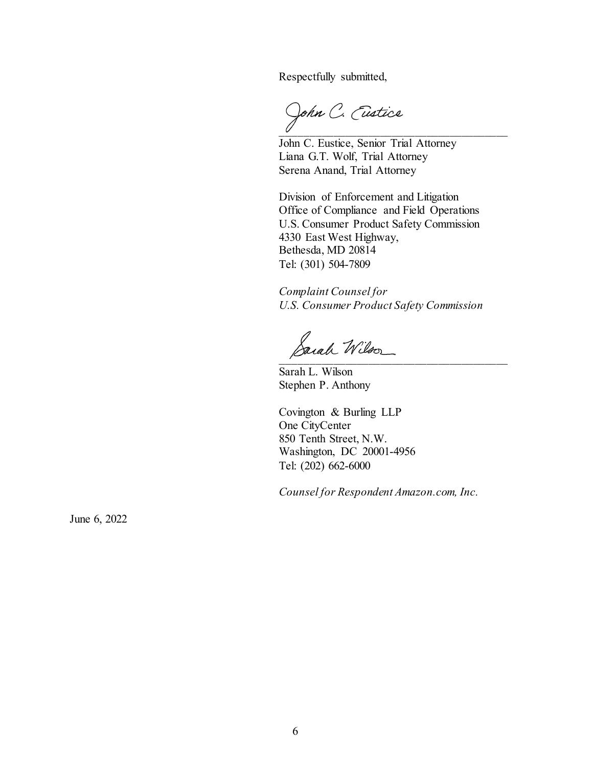Respectfully submitted,

John C. Eustice

John C. Eustice, Senior Trial Attorney Liana G.T. Wolf, Trial Attorney Serena Anand, Trial Attorney

Division of Enforcement and Litigation Office of Compliance and Field Operations U.S. Consumer Product Safety Commission 4330 East West Highway, Bethesda, MD 20814 Tel: (301) 504-7809

*Complaint Counsel for U.S. Consumer Product Safety Commission*

 $\beta$ arah Wilson

Sarah L. Wilson Stephen P. Anthony

Covington & Burling LLP One CityCenter 850 Tenth Street, N.W. Washington, DC 20001-4956 Tel: (202) 662-6000

*Counsel for Respondent Amazon.com, Inc.* 

June 6, 2022